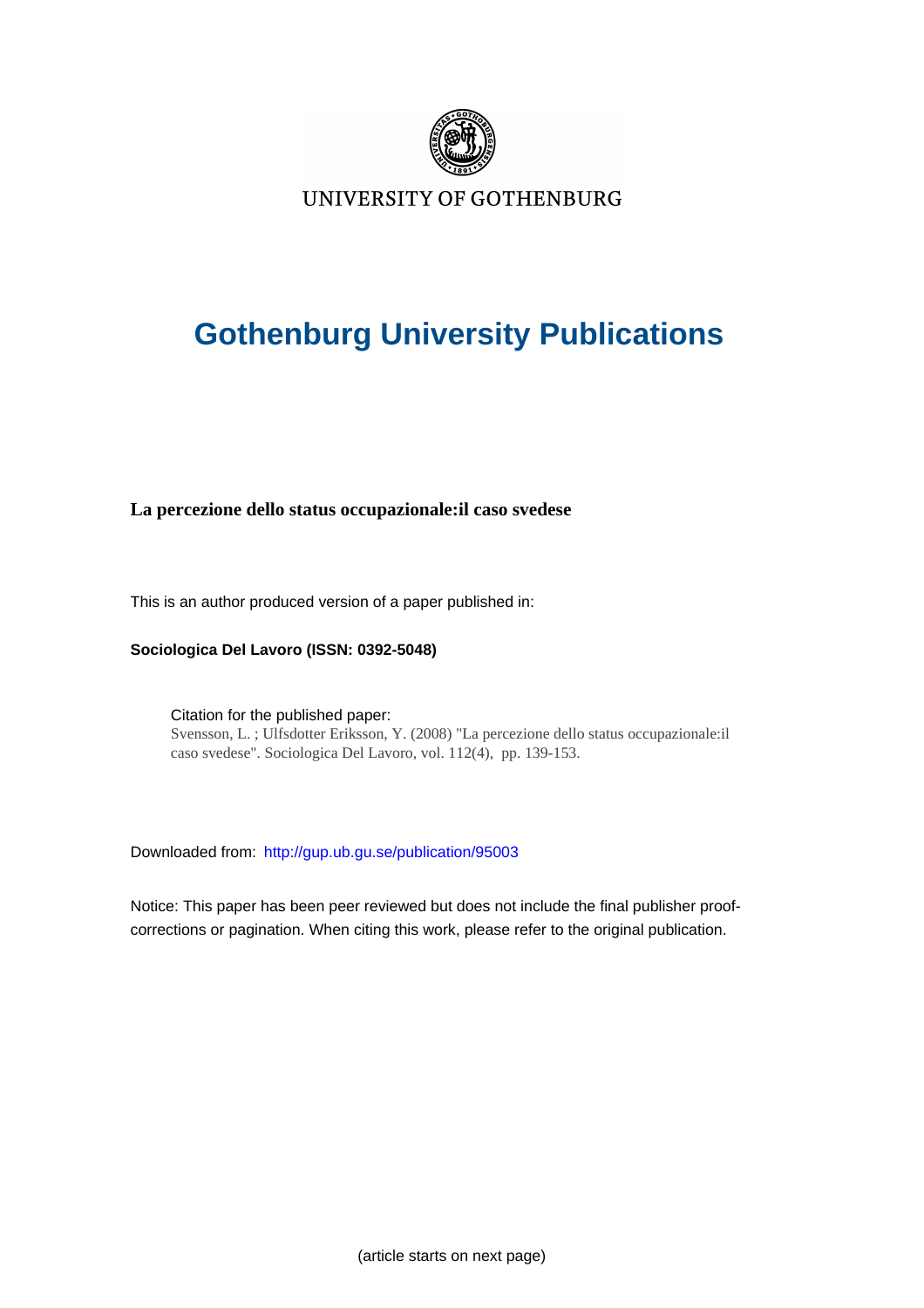

UNIVERSITY OF GOTHENBURG

# **Gothenburg University Publications**

## **La percezione dello status occupazionale:il caso svedese**

This is an author produced version of a paper published in:

**Sociologica Del Lavoro (ISSN: 0392-5048)**

Citation for the published paper: Svensson, L. ; Ulfsdotter Eriksson, Y. (2008) "La percezione dello status occupazionale:il caso svedese". Sociologica Del Lavoro, vol. 112(4), pp. 139-153.

Downloaded from: <http://gup.ub.gu.se/publication/95003>

Notice: This paper has been peer reviewed but does not include the final publisher proofcorrections or pagination. When citing this work, please refer to the original publication.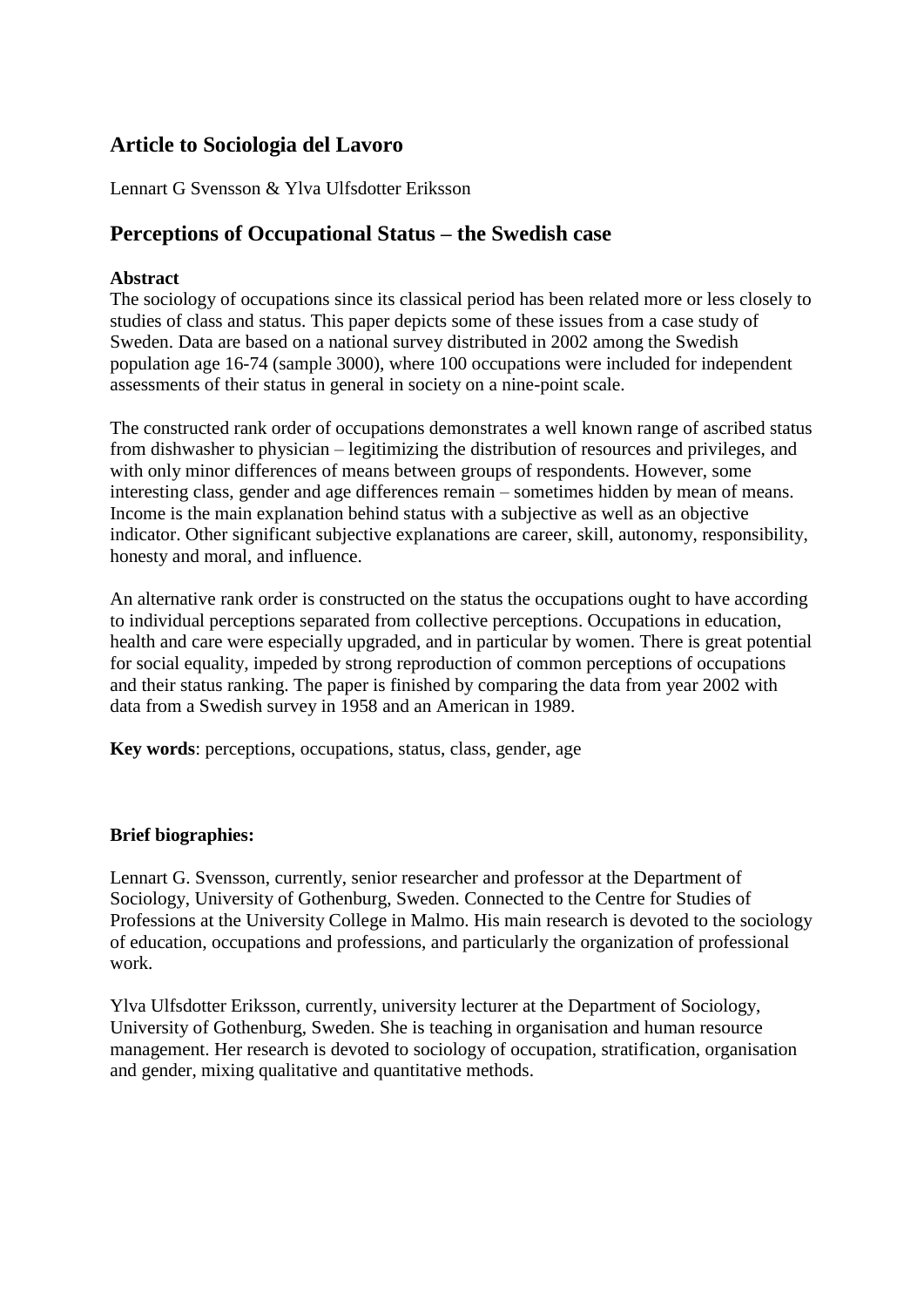# **Article to Sociologia del Lavoro**

Lennart G Svensson & Ylva Ulfsdotter Eriksson

## **Perceptions of Occupational Status – the Swedish case**

#### **Abstract**

The sociology of occupations since its classical period has been related more or less closely to studies of class and status. This paper depicts some of these issues from a case study of Sweden. Data are based on a national survey distributed in 2002 among the Swedish population age 16-74 (sample 3000), where 100 occupations were included for independent assessments of their status in general in society on a nine-point scale.

The constructed rank order of occupations demonstrates a well known range of ascribed status from dishwasher to physician – legitimizing the distribution of resources and privileges, and with only minor differences of means between groups of respondents. However, some interesting class, gender and age differences remain – sometimes hidden by mean of means. Income is the main explanation behind status with a subjective as well as an objective indicator. Other significant subjective explanations are career, skill, autonomy, responsibility, honesty and moral, and influence.

An alternative rank order is constructed on the status the occupations ought to have according to individual perceptions separated from collective perceptions. Occupations in education, health and care were especially upgraded, and in particular by women. There is great potential for social equality, impeded by strong reproduction of common perceptions of occupations and their status ranking. The paper is finished by comparing the data from year 2002 with data from a Swedish survey in 1958 and an American in 1989.

**Key words**: perceptions, occupations, status, class, gender, age

#### **Brief biographies:**

Lennart G. Svensson, currently, senior researcher and professor at the Department of Sociology, University of Gothenburg, Sweden. Connected to the Centre for Studies of Professions at the University College in Malmo. His main research is devoted to the sociology of education, occupations and professions, and particularly the organization of professional work.

Ylva Ulfsdotter Eriksson, currently, university lecturer at the Department of Sociology, University of Gothenburg, Sweden. She is teaching in organisation and human resource management. Her research is devoted to sociology of occupation, stratification, organisation and gender, mixing qualitative and quantitative methods.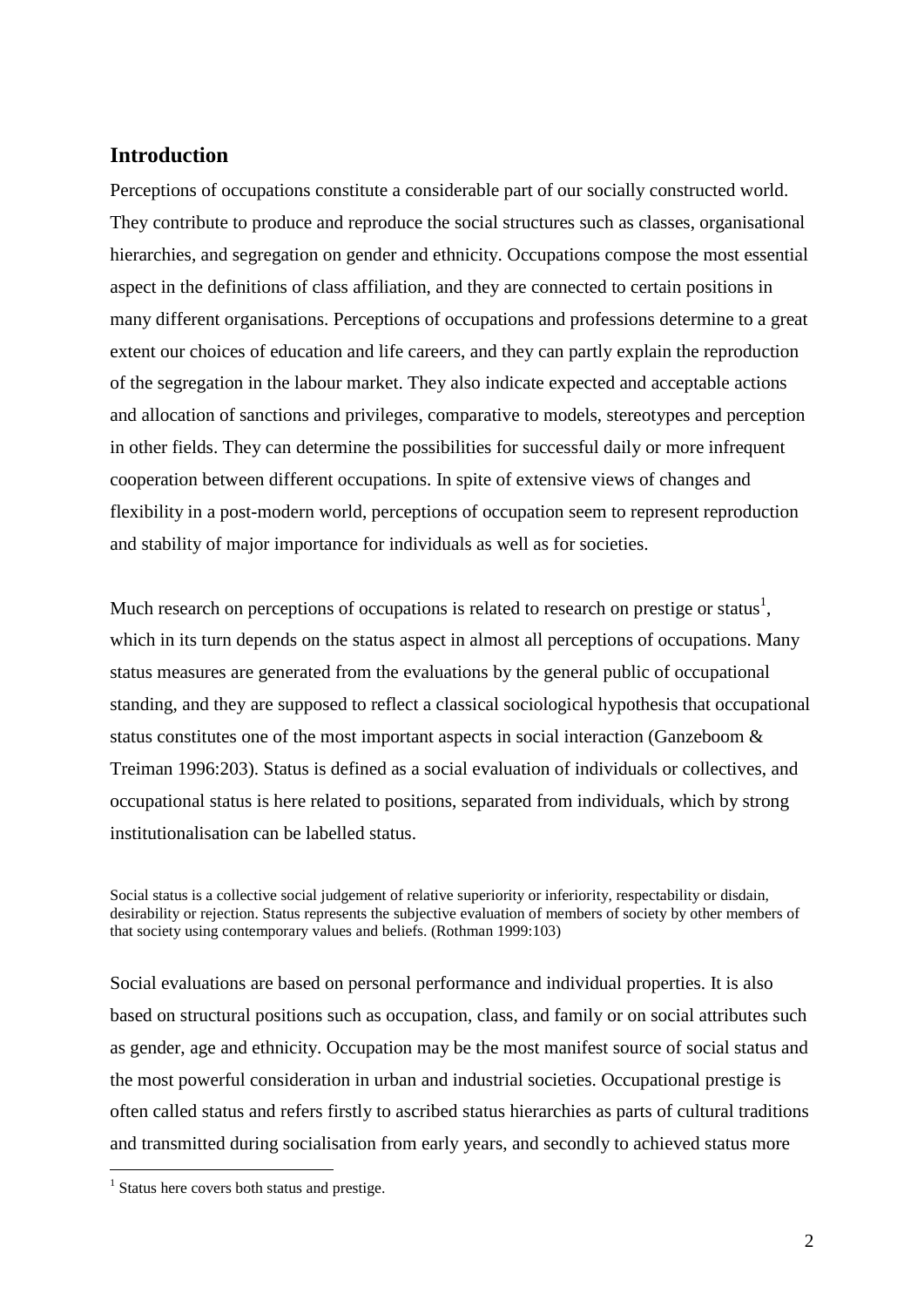## **Introduction**

Perceptions of occupations constitute a considerable part of our socially constructed world. They contribute to produce and reproduce the social structures such as classes, organisational hierarchies, and segregation on gender and ethnicity. Occupations compose the most essential aspect in the definitions of class affiliation, and they are connected to certain positions in many different organisations. Perceptions of occupations and professions determine to a great extent our choices of education and life careers, and they can partly explain the reproduction of the segregation in the labour market. They also indicate expected and acceptable actions and allocation of sanctions and privileges, comparative to models, stereotypes and perception in other fields. They can determine the possibilities for successful daily or more infrequent cooperation between different occupations. In spite of extensive views of changes and flexibility in a post-modern world, perceptions of occupation seem to represent reproduction and stability of major importance for individuals as well as for societies.

Much research on perceptions of occupations is related to research on prestige or status<sup>1</sup>, which in its turn depends on the status aspect in almost all perceptions of occupations. Many status measures are generated from the evaluations by the general public of occupational standing, and they are supposed to reflect a classical sociological hypothesis that occupational status constitutes one of the most important aspects in social interaction (Ganzeboom & Treiman 1996:203). Status is defined as a social evaluation of individuals or collectives, and occupational status is here related to positions, separated from individuals, which by strong institutionalisation can be labelled status.

Social status is a collective social judgement of relative superiority or inferiority, respectability or disdain, desirability or rejection. Status represents the subjective evaluation of members of society by other members of that society using contemporary values and beliefs. (Rothman 1999:103)

Social evaluations are based on personal performance and individual properties. It is also based on structural positions such as occupation, class, and family or on social attributes such as gender, age and ethnicity. Occupation may be the most manifest source of social status and the most powerful consideration in urban and industrial societies. Occupational prestige is often called status and refers firstly to ascribed status hierarchies as parts of cultural traditions and transmitted during socialisation from early years, and secondly to achieved status more

 $\overline{a}$ 

<sup>&</sup>lt;sup>1</sup> Status here covers both status and prestige.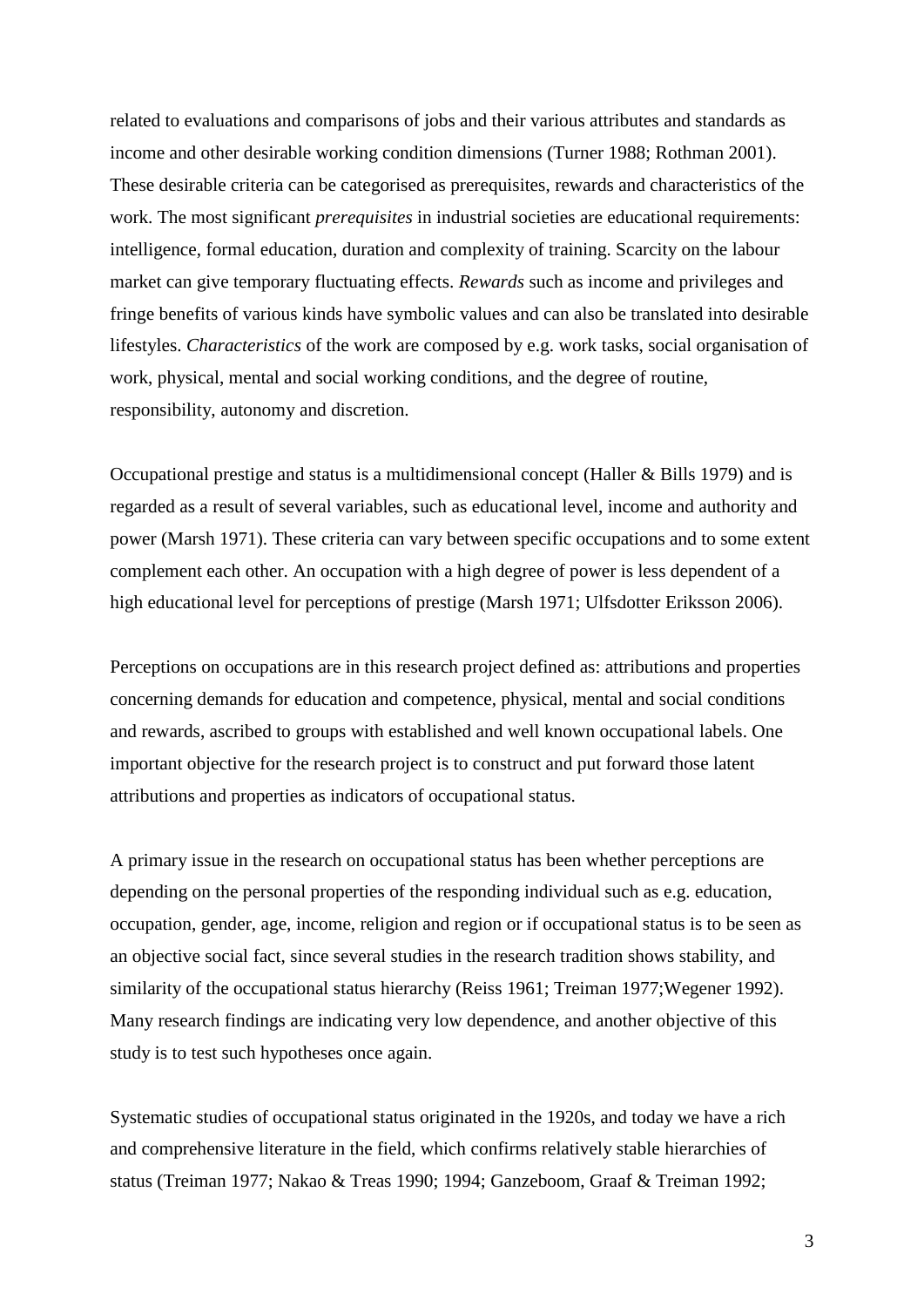related to evaluations and comparisons of jobs and their various attributes and standards as income and other desirable working condition dimensions (Turner 1988; Rothman 2001). These desirable criteria can be categorised as prerequisites, rewards and characteristics of the work. The most significant *prerequisites* in industrial societies are educational requirements: intelligence, formal education, duration and complexity of training. Scarcity on the labour market can give temporary fluctuating effects. *Rewards* such as income and privileges and fringe benefits of various kinds have symbolic values and can also be translated into desirable lifestyles. *Characteristics* of the work are composed by e.g. work tasks, social organisation of work, physical, mental and social working conditions, and the degree of routine, responsibility, autonomy and discretion.

Occupational prestige and status is a multidimensional concept (Haller & Bills 1979) and is regarded as a result of several variables, such as educational level, income and authority and power (Marsh 1971). These criteria can vary between specific occupations and to some extent complement each other. An occupation with a high degree of power is less dependent of a high educational level for perceptions of prestige (Marsh 1971; Ulfsdotter Eriksson 2006).

Perceptions on occupations are in this research project defined as: attributions and properties concerning demands for education and competence, physical, mental and social conditions and rewards, ascribed to groups with established and well known occupational labels. One important objective for the research project is to construct and put forward those latent attributions and properties as indicators of occupational status.

A primary issue in the research on occupational status has been whether perceptions are depending on the personal properties of the responding individual such as e.g. education, occupation, gender, age, income, religion and region or if occupational status is to be seen as an objective social fact, since several studies in the research tradition shows stability, and similarity of the occupational status hierarchy (Reiss 1961; Treiman 1977;Wegener 1992). Many research findings are indicating very low dependence, and another objective of this study is to test such hypotheses once again.

Systematic studies of occupational status originated in the 1920s, and today we have a rich and comprehensive literature in the field, which confirms relatively stable hierarchies of status (Treiman 1977; Nakao & Treas 1990; 1994; Ganzeboom, Graaf & Treiman 1992;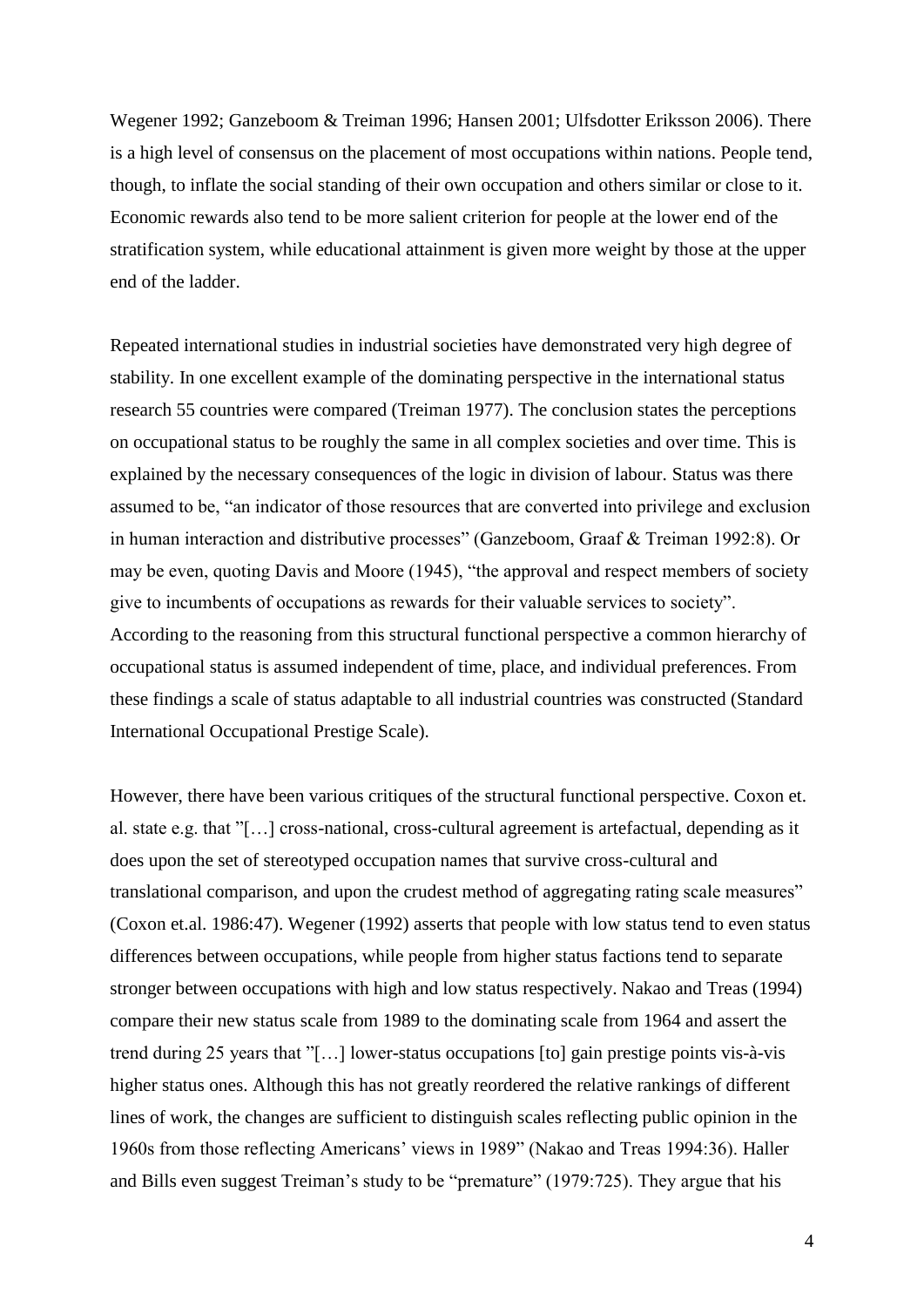Wegener 1992; Ganzeboom & Treiman 1996; Hansen 2001; Ulfsdotter Eriksson 2006). There is a high level of consensus on the placement of most occupations within nations. People tend, though, to inflate the social standing of their own occupation and others similar or close to it. Economic rewards also tend to be more salient criterion for people at the lower end of the stratification system, while educational attainment is given more weight by those at the upper end of the ladder.

Repeated international studies in industrial societies have demonstrated very high degree of stability. In one excellent example of the dominating perspective in the international status research 55 countries were compared (Treiman 1977). The conclusion states the perceptions on occupational status to be roughly the same in all complex societies and over time. This is explained by the necessary consequences of the logic in division of labour. Status was there assumed to be, "an indicator of those resources that are converted into privilege and exclusion in human interaction and distributive processes" (Ganzeboom, Graaf & Treiman 1992:8). Or may be even, quoting Davis and Moore (1945), "the approval and respect members of society give to incumbents of occupations as rewards for their valuable services to society". According to the reasoning from this structural functional perspective a common hierarchy of occupational status is assumed independent of time, place, and individual preferences. From these findings a scale of status adaptable to all industrial countries was constructed (Standard International Occupational Prestige Scale).

However, there have been various critiques of the structural functional perspective. Coxon et. al. state e.g. that "[…] cross-national, cross-cultural agreement is artefactual, depending as it does upon the set of stereotyped occupation names that survive cross-cultural and translational comparison, and upon the crudest method of aggregating rating scale measures" (Coxon et.al. 1986:47). Wegener (1992) asserts that people with low status tend to even status differences between occupations, while people from higher status factions tend to separate stronger between occupations with high and low status respectively. Nakao and Treas (1994) compare their new status scale from 1989 to the dominating scale from 1964 and assert the trend during 25 years that "[…] lower-status occupations [to] gain prestige points vis-à-vis higher status ones. Although this has not greatly reordered the relative rankings of different lines of work, the changes are sufficient to distinguish scales reflecting public opinion in the 1960s from those reflecting Americans' views in 1989" (Nakao and Treas 1994:36). Haller and Bills even suggest Treiman's study to be "premature" (1979:725). They argue that his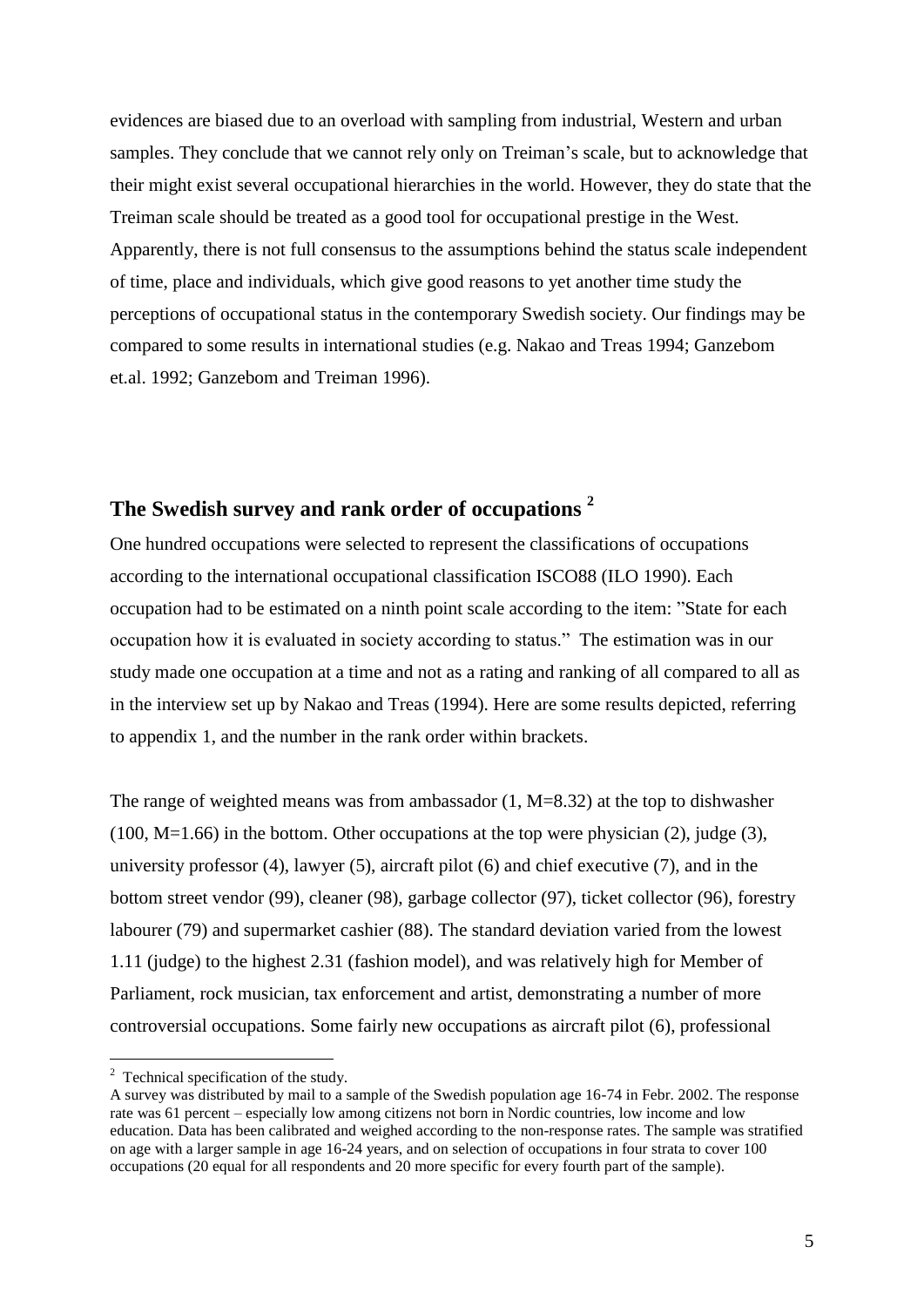evidences are biased due to an overload with sampling from industrial, Western and urban samples. They conclude that we cannot rely only on Treiman's scale, but to acknowledge that their might exist several occupational hierarchies in the world. However, they do state that the Treiman scale should be treated as a good tool for occupational prestige in the West. Apparently, there is not full consensus to the assumptions behind the status scale independent of time, place and individuals, which give good reasons to yet another time study the perceptions of occupational status in the contemporary Swedish society. Our findings may be compared to some results in international studies (e.g. Nakao and Treas 1994; Ganzebom et.al. 1992; Ganzebom and Treiman 1996).

## **The Swedish survey and rank order of occupations <sup>2</sup>**

One hundred occupations were selected to represent the classifications of occupations according to the international occupational classification ISCO88 (ILO 1990). Each occupation had to be estimated on a ninth point scale according to the item: "State for each occupation how it is evaluated in society according to status." The estimation was in our study made one occupation at a time and not as a rating and ranking of all compared to all as in the interview set up by Nakao and Treas (1994). Here are some results depicted, referring to appendix 1, and the number in the rank order within brackets.

The range of weighted means was from ambassador (1, M=8.32) at the top to dishwasher  $(100, M=1.66)$  in the bottom. Other occupations at the top were physician  $(2)$ , judge  $(3)$ , university professor (4), lawyer (5), aircraft pilot (6) and chief executive (7), and in the bottom street vendor (99), cleaner (98), garbage collector (97), ticket collector (96), forestry labourer (79) and supermarket cashier (88). The standard deviation varied from the lowest 1.11 (judge) to the highest 2.31 (fashion model), and was relatively high for Member of Parliament, rock musician, tax enforcement and artist, demonstrating a number of more controversial occupations. Some fairly new occupations as aircraft pilot (6), professional

 $\overline{a}$ 

 $2^2$  Technical specification of the study.

A survey was distributed by mail to a sample of the Swedish population age 16-74 in Febr. 2002. The response rate was 61 percent – especially low among citizens not born in Nordic countries, low income and low education. Data has been calibrated and weighed according to the non-response rates. The sample was stratified on age with a larger sample in age 16-24 years, and on selection of occupations in four strata to cover 100 occupations (20 equal for all respondents and 20 more specific for every fourth part of the sample).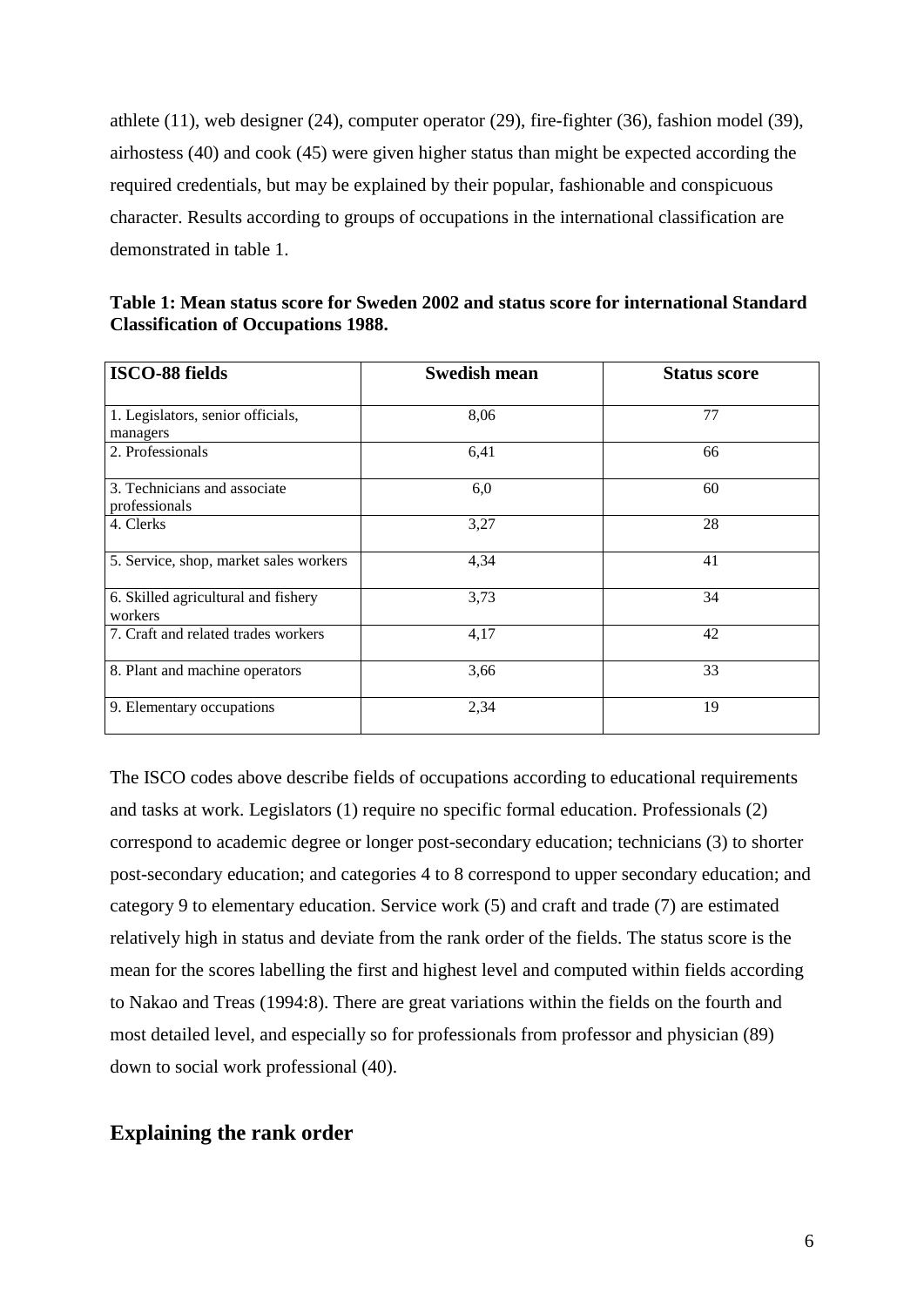athlete (11), web designer (24), computer operator (29), fire-fighter (36), fashion model (39), airhostess (40) and cook (45) were given higher status than might be expected according the required credentials, but may be explained by their popular, fashionable and conspicuous character. Results according to groups of occupations in the international classification are demonstrated in table 1.

**Table 1: Mean status score for Sweden 2002 and status score for international Standard Classification of Occupations 1988.**

| <b>ISCO-88 fields</b>                          | <b>Swedish mean</b> | <b>Status score</b> |
|------------------------------------------------|---------------------|---------------------|
| 1. Legislators, senior officials,<br>managers  | 8,06                | 77                  |
| 2. Professionals                               | 6,41                | 66                  |
| 3. Technicians and associate<br>professionals  | 6,0                 | 60                  |
| 4. Clerks                                      | 3,27                | 28                  |
| 5. Service, shop, market sales workers         | 4,34                | 41                  |
| 6. Skilled agricultural and fishery<br>workers | 3,73                | 34                  |
| 7. Craft and related trades workers            | 4,17                | 42                  |
| 8. Plant and machine operators                 | 3,66                | 33                  |
| 9. Elementary occupations                      | 2,34                | 19                  |

The ISCO codes above describe fields of occupations according to educational requirements and tasks at work. Legislators (1) require no specific formal education. Professionals (2) correspond to academic degree or longer post-secondary education; technicians (3) to shorter post-secondary education; and categories 4 to 8 correspond to upper secondary education; and category 9 to elementary education. Service work (5) and craft and trade (7) are estimated relatively high in status and deviate from the rank order of the fields. The status score is the mean for the scores labelling the first and highest level and computed within fields according to Nakao and Treas (1994:8). There are great variations within the fields on the fourth and most detailed level, and especially so for professionals from professor and physician (89) down to social work professional (40).

## **Explaining the rank order**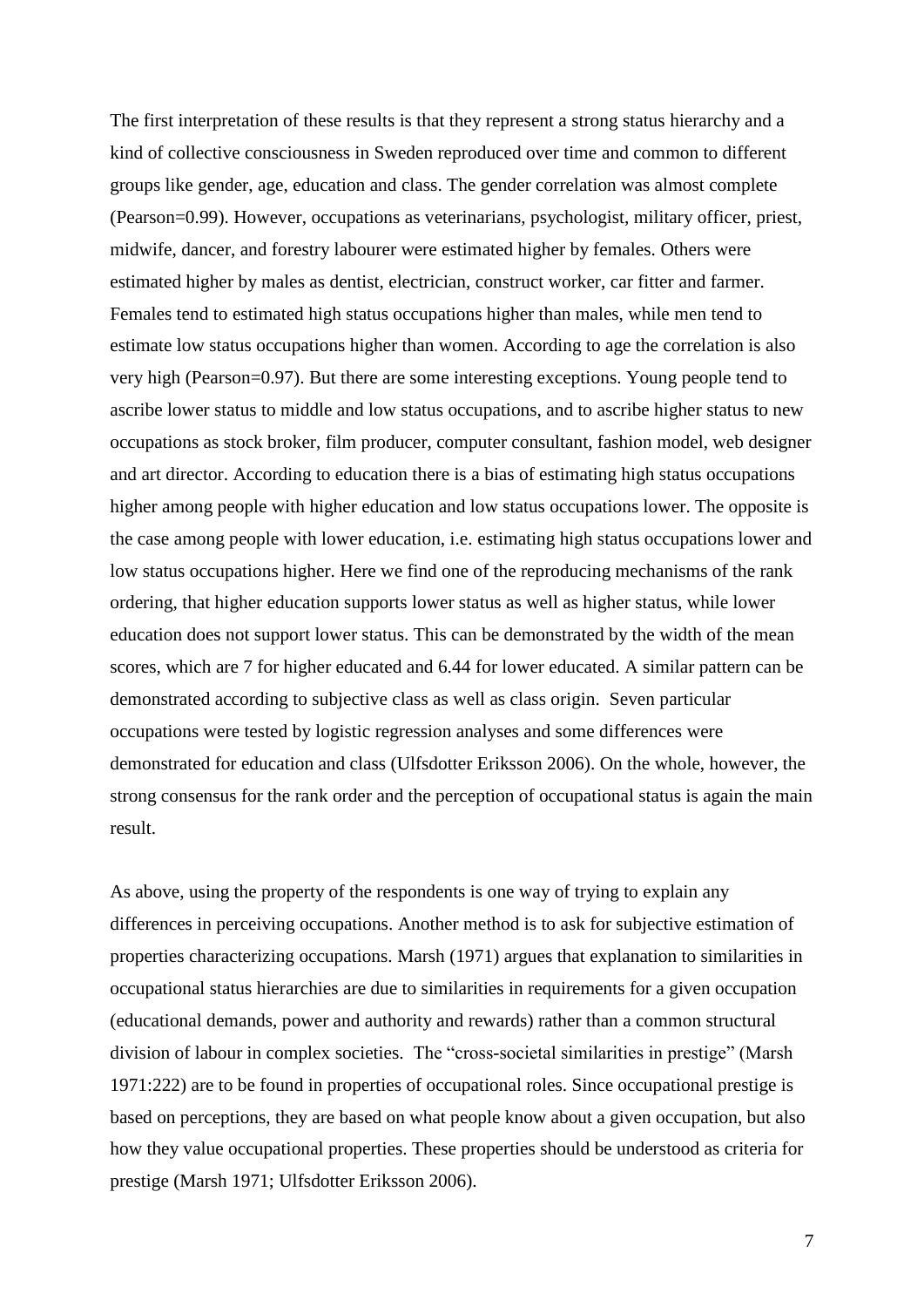The first interpretation of these results is that they represent a strong status hierarchy and a kind of collective consciousness in Sweden reproduced over time and common to different groups like gender, age, education and class. The gender correlation was almost complete (Pearson=0.99). However, occupations as veterinarians, psychologist, military officer, priest, midwife, dancer, and forestry labourer were estimated higher by females. Others were estimated higher by males as dentist, electrician, construct worker, car fitter and farmer. Females tend to estimated high status occupations higher than males, while men tend to estimate low status occupations higher than women. According to age the correlation is also very high (Pearson=0.97). But there are some interesting exceptions. Young people tend to ascribe lower status to middle and low status occupations, and to ascribe higher status to new occupations as stock broker, film producer, computer consultant, fashion model, web designer and art director. According to education there is a bias of estimating high status occupations higher among people with higher education and low status occupations lower. The opposite is the case among people with lower education, i.e. estimating high status occupations lower and low status occupations higher. Here we find one of the reproducing mechanisms of the rank ordering, that higher education supports lower status as well as higher status, while lower education does not support lower status. This can be demonstrated by the width of the mean scores, which are 7 for higher educated and 6.44 for lower educated. A similar pattern can be demonstrated according to subjective class as well as class origin. Seven particular occupations were tested by logistic regression analyses and some differences were demonstrated for education and class (Ulfsdotter Eriksson 2006). On the whole, however, the strong consensus for the rank order and the perception of occupational status is again the main result.

As above, using the property of the respondents is one way of trying to explain any differences in perceiving occupations. Another method is to ask for subjective estimation of properties characterizing occupations. Marsh (1971) argues that explanation to similarities in occupational status hierarchies are due to similarities in requirements for a given occupation (educational demands, power and authority and rewards) rather than a common structural division of labour in complex societies. The "cross-societal similarities in prestige" (Marsh 1971:222) are to be found in properties of occupational roles. Since occupational prestige is based on perceptions, they are based on what people know about a given occupation, but also how they value occupational properties. These properties should be understood as criteria for prestige (Marsh 1971; Ulfsdotter Eriksson 2006).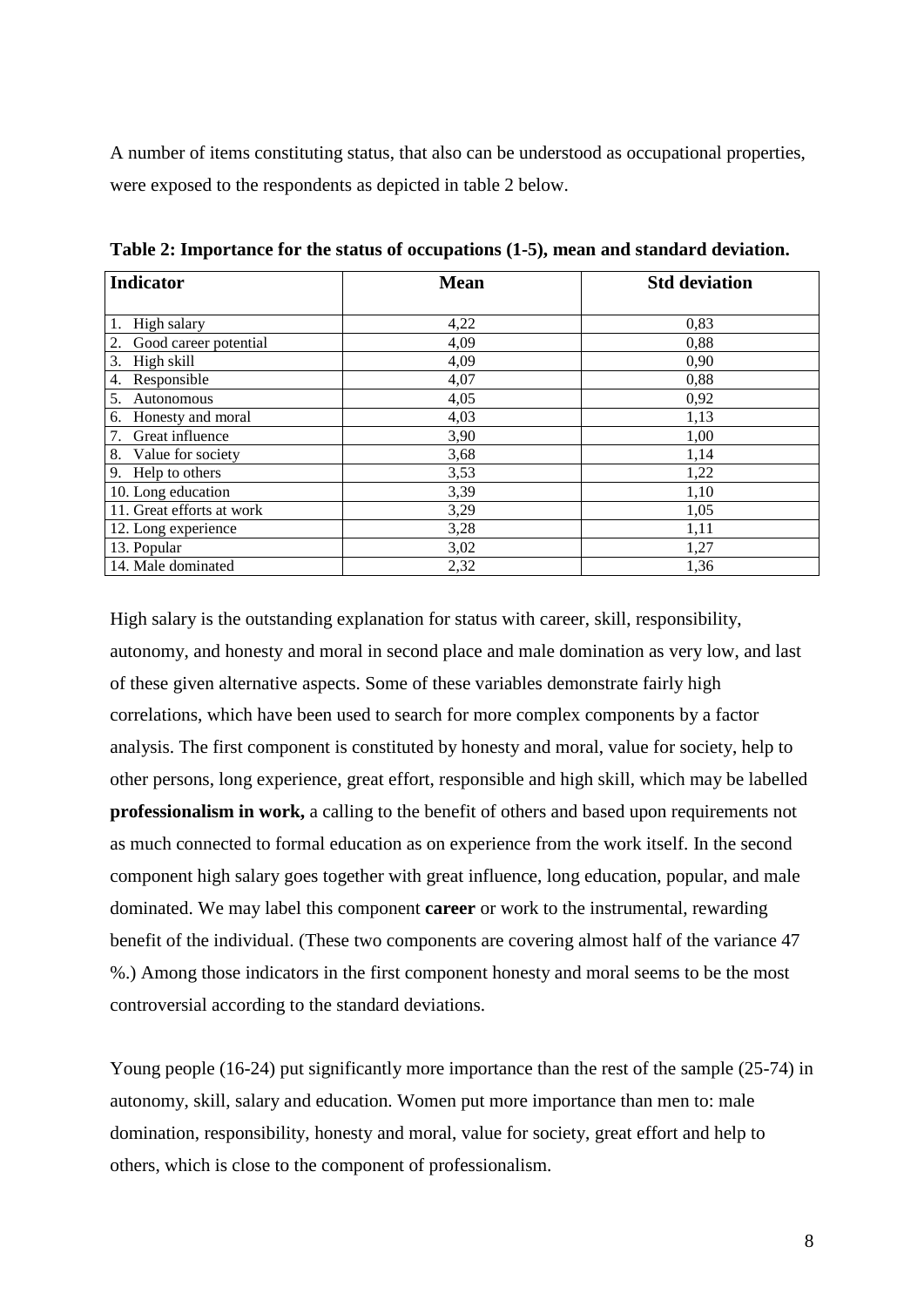A number of items constituting status, that also can be understood as occupational properties, were exposed to the respondents as depicted in table 2 below.

| <b>Indicator</b>          | <b>Mean</b> | <b>Std deviation</b> |  |  |
|---------------------------|-------------|----------------------|--|--|
| High salary               | 4,22        | 0,83                 |  |  |
| Good career potential     | 4,09        | 0,88                 |  |  |
| 3.<br>High skill          | 4,09        | 0,90                 |  |  |
| Responsible<br>4.         | 4,07        | 0,88                 |  |  |
| 5.<br>Autonomous          | 4,05        | 0,92                 |  |  |
| Honesty and moral<br>6.   | 4,03        | 1,13                 |  |  |
| 7.<br>Great influence     | 3,90        | 1,00                 |  |  |
| 8.<br>Value for society   | 3,68        | 1,14                 |  |  |
| 9. Help to others         | 3,53        | 1,22                 |  |  |
| 10. Long education        | 3,39        | 1,10                 |  |  |
| 11. Great efforts at work | 3,29        | 1,05                 |  |  |
| 12. Long experience       | 3,28        | 1,11                 |  |  |
| 13. Popular               | 3,02        | 1,27                 |  |  |
| 14. Male dominated        | 2,32        | 1,36                 |  |  |

**Table 2: Importance for the status of occupations (1-5), mean and standard deviation.**

High salary is the outstanding explanation for status with career, skill, responsibility, autonomy, and honesty and moral in second place and male domination as very low, and last of these given alternative aspects. Some of these variables demonstrate fairly high correlations, which have been used to search for more complex components by a factor analysis. The first component is constituted by honesty and moral, value for society, help to other persons, long experience, great effort, responsible and high skill, which may be labelled **professionalism in work,** a calling to the benefit of others and based upon requirements not as much connected to formal education as on experience from the work itself. In the second component high salary goes together with great influence, long education, popular, and male dominated. We may label this component **career** or work to the instrumental, rewarding benefit of the individual. (These two components are covering almost half of the variance 47 %.) Among those indicators in the first component honesty and moral seems to be the most controversial according to the standard deviations.

Young people (16-24) put significantly more importance than the rest of the sample (25-74) in autonomy, skill, salary and education. Women put more importance than men to: male domination, responsibility, honesty and moral, value for society, great effort and help to others, which is close to the component of professionalism.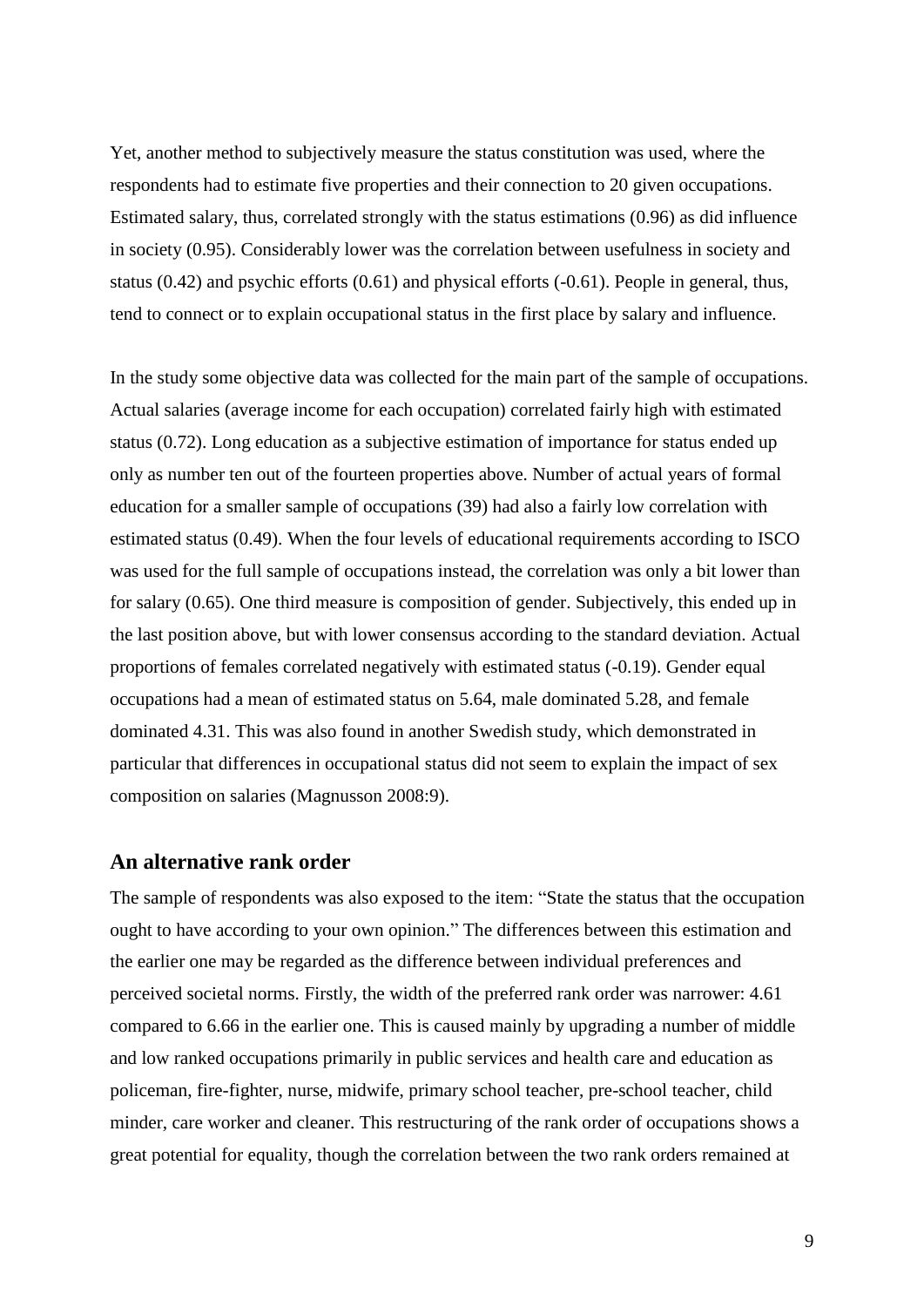Yet, another method to subjectively measure the status constitution was used, where the respondents had to estimate five properties and their connection to 20 given occupations. Estimated salary, thus, correlated strongly with the status estimations (0.96) as did influence in society (0.95). Considerably lower was the correlation between usefulness in society and status (0.42) and psychic efforts (0.61) and physical efforts (-0.61). People in general, thus, tend to connect or to explain occupational status in the first place by salary and influence.

In the study some objective data was collected for the main part of the sample of occupations. Actual salaries (average income for each occupation) correlated fairly high with estimated status (0.72). Long education as a subjective estimation of importance for status ended up only as number ten out of the fourteen properties above. Number of actual years of formal education for a smaller sample of occupations (39) had also a fairly low correlation with estimated status (0.49). When the four levels of educational requirements according to ISCO was used for the full sample of occupations instead, the correlation was only a bit lower than for salary (0.65). One third measure is composition of gender. Subjectively, this ended up in the last position above, but with lower consensus according to the standard deviation. Actual proportions of females correlated negatively with estimated status (-0.19). Gender equal occupations had a mean of estimated status on 5.64, male dominated 5.28, and female dominated 4.31. This was also found in another Swedish study, which demonstrated in particular that differences in occupational status did not seem to explain the impact of sex composition on salaries (Magnusson 2008:9).

## **An alternative rank order**

The sample of respondents was also exposed to the item: "State the status that the occupation ought to have according to your own opinion." The differences between this estimation and the earlier one may be regarded as the difference between individual preferences and perceived societal norms. Firstly, the width of the preferred rank order was narrower: 4.61 compared to 6.66 in the earlier one. This is caused mainly by upgrading a number of middle and low ranked occupations primarily in public services and health care and education as policeman, fire-fighter, nurse, midwife, primary school teacher, pre-school teacher, child minder, care worker and cleaner. This restructuring of the rank order of occupations shows a great potential for equality, though the correlation between the two rank orders remained at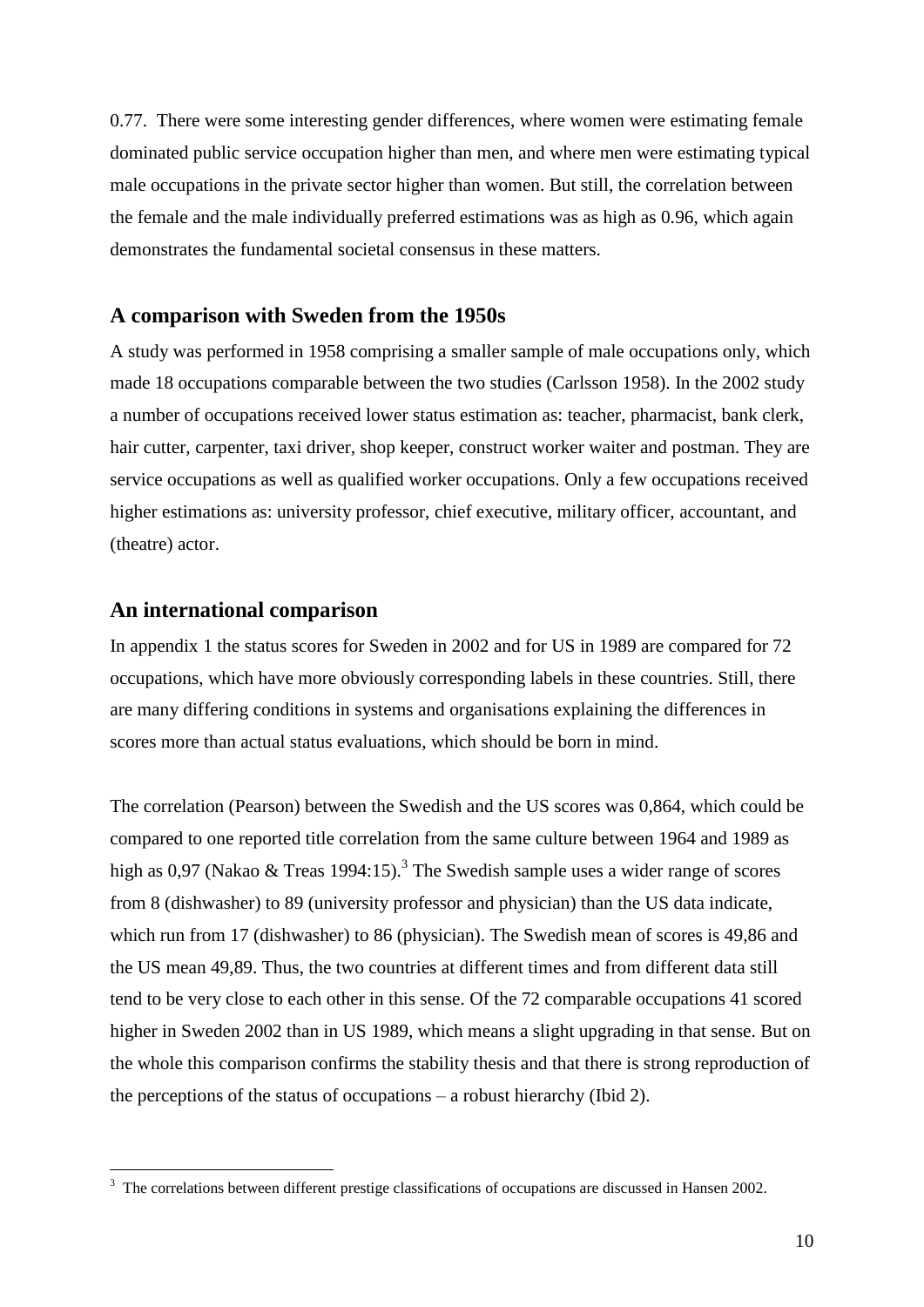0.77. There were some interesting gender differences, where women were estimating female dominated public service occupation higher than men, and where men were estimating typical male occupations in the private sector higher than women. But still, the correlation between the female and the male individually preferred estimations was as high as 0.96, which again demonstrates the fundamental societal consensus in these matters.

## **A comparison with Sweden from the 1950s**

A study was performed in 1958 comprising a smaller sample of male occupations only, which made 18 occupations comparable between the two studies (Carlsson 1958). In the 2002 study a number of occupations received lower status estimation as: teacher, pharmacist, bank clerk, hair cutter, carpenter, taxi driver, shop keeper, construct worker waiter and postman. They are service occupations as well as qualified worker occupations. Only a few occupations received higher estimations as: university professor, chief executive, military officer, accountant, and (theatre) actor.

#### **An international comparison**

In appendix 1 the status scores for Sweden in 2002 and for US in 1989 are compared for 72 occupations, which have more obviously corresponding labels in these countries. Still, there are many differing conditions in systems and organisations explaining the differences in scores more than actual status evaluations, which should be born in mind.

The correlation (Pearson) between the Swedish and the US scores was 0,864, which could be compared to one reported title correlation from the same culture between 1964 and 1989 as high as 0,97 (Nakao & Treas 1994:15).<sup>3</sup> The Swedish sample uses a wider range of scores from 8 (dishwasher) to 89 (university professor and physician) than the US data indicate, which run from 17 (dishwasher) to 86 (physician). The Swedish mean of scores is 49,86 and the US mean 49,89. Thus, the two countries at different times and from different data still tend to be very close to each other in this sense. Of the 72 comparable occupations 41 scored higher in Sweden 2002 than in US 1989, which means a slight upgrading in that sense. But on the whole this comparison confirms the stability thesis and that there is strong reproduction of the perceptions of the status of occupations – a robust hierarchy (Ibid 2).

<sup>&</sup>lt;sup>3</sup> The correlations between different prestige classifications of occupations are discussed in Hansen 2002.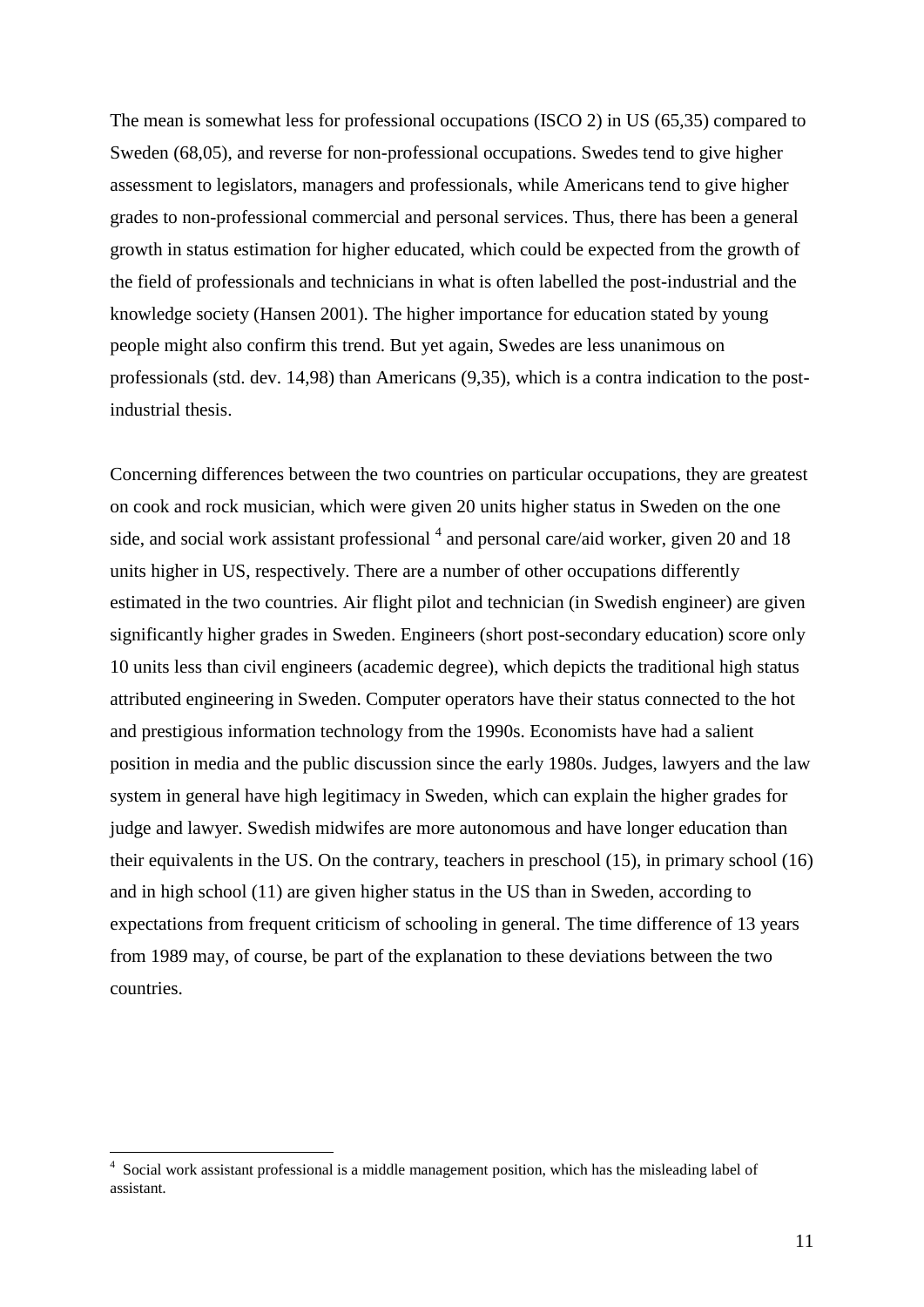The mean is somewhat less for professional occupations (ISCO 2) in US (65,35) compared to Sweden (68,05), and reverse for non-professional occupations. Swedes tend to give higher assessment to legislators, managers and professionals, while Americans tend to give higher grades to non-professional commercial and personal services. Thus, there has been a general growth in status estimation for higher educated, which could be expected from the growth of the field of professionals and technicians in what is often labelled the post-industrial and the knowledge society (Hansen 2001). The higher importance for education stated by young people might also confirm this trend. But yet again, Swedes are less unanimous on professionals (std. dev. 14,98) than Americans (9,35), which is a contra indication to the postindustrial thesis.

Concerning differences between the two countries on particular occupations, they are greatest on cook and rock musician, which were given 20 units higher status in Sweden on the one side, and social work assistant professional  $<sup>4</sup>$  and personal care/aid worker, given 20 and 18</sup> units higher in US, respectively. There are a number of other occupations differently estimated in the two countries. Air flight pilot and technician (in Swedish engineer) are given significantly higher grades in Sweden. Engineers (short post-secondary education) score only 10 units less than civil engineers (academic degree), which depicts the traditional high status attributed engineering in Sweden. Computer operators have their status connected to the hot and prestigious information technology from the 1990s. Economists have had a salient position in media and the public discussion since the early 1980s. Judges, lawyers and the law system in general have high legitimacy in Sweden, which can explain the higher grades for judge and lawyer. Swedish midwifes are more autonomous and have longer education than their equivalents in the US. On the contrary, teachers in preschool (15), in primary school (16) and in high school (11) are given higher status in the US than in Sweden, according to expectations from frequent criticism of schooling in general. The time difference of 13 years from 1989 may, of course, be part of the explanation to these deviations between the two countries.

 $\overline{a}$ 

<sup>4</sup> Social work assistant professional is a middle management position, which has the misleading label of assistant.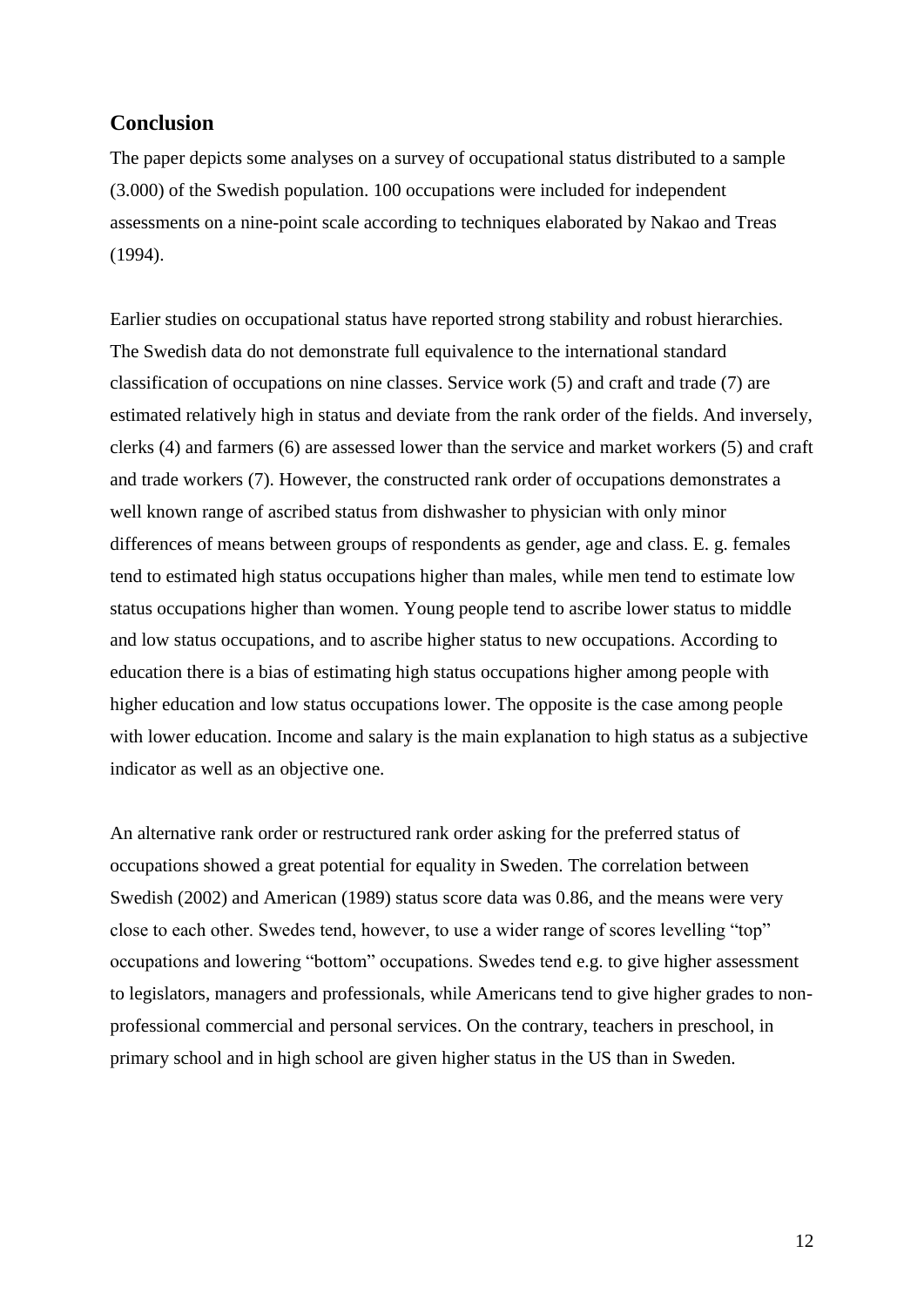## **Conclusion**

The paper depicts some analyses on a survey of occupational status distributed to a sample (3.000) of the Swedish population. 100 occupations were included for independent assessments on a nine-point scale according to techniques elaborated by Nakao and Treas (1994).

Earlier studies on occupational status have reported strong stability and robust hierarchies. The Swedish data do not demonstrate full equivalence to the international standard classification of occupations on nine classes. Service work (5) and craft and trade (7) are estimated relatively high in status and deviate from the rank order of the fields. And inversely, clerks (4) and farmers (6) are assessed lower than the service and market workers (5) and craft and trade workers (7). However, the constructed rank order of occupations demonstrates a well known range of ascribed status from dishwasher to physician with only minor differences of means between groups of respondents as gender, age and class. E. g. females tend to estimated high status occupations higher than males, while men tend to estimate low status occupations higher than women. Young people tend to ascribe lower status to middle and low status occupations, and to ascribe higher status to new occupations. According to education there is a bias of estimating high status occupations higher among people with higher education and low status occupations lower. The opposite is the case among people with lower education. Income and salary is the main explanation to high status as a subjective indicator as well as an objective one.

An alternative rank order or restructured rank order asking for the preferred status of occupations showed a great potential for equality in Sweden. The correlation between Swedish (2002) and American (1989) status score data was 0.86, and the means were very close to each other. Swedes tend, however, to use a wider range of scores levelling "top" occupations and lowering "bottom" occupations. Swedes tend e.g. to give higher assessment to legislators, managers and professionals, while Americans tend to give higher grades to nonprofessional commercial and personal services. On the contrary, teachers in preschool, in primary school and in high school are given higher status in the US than in Sweden.

12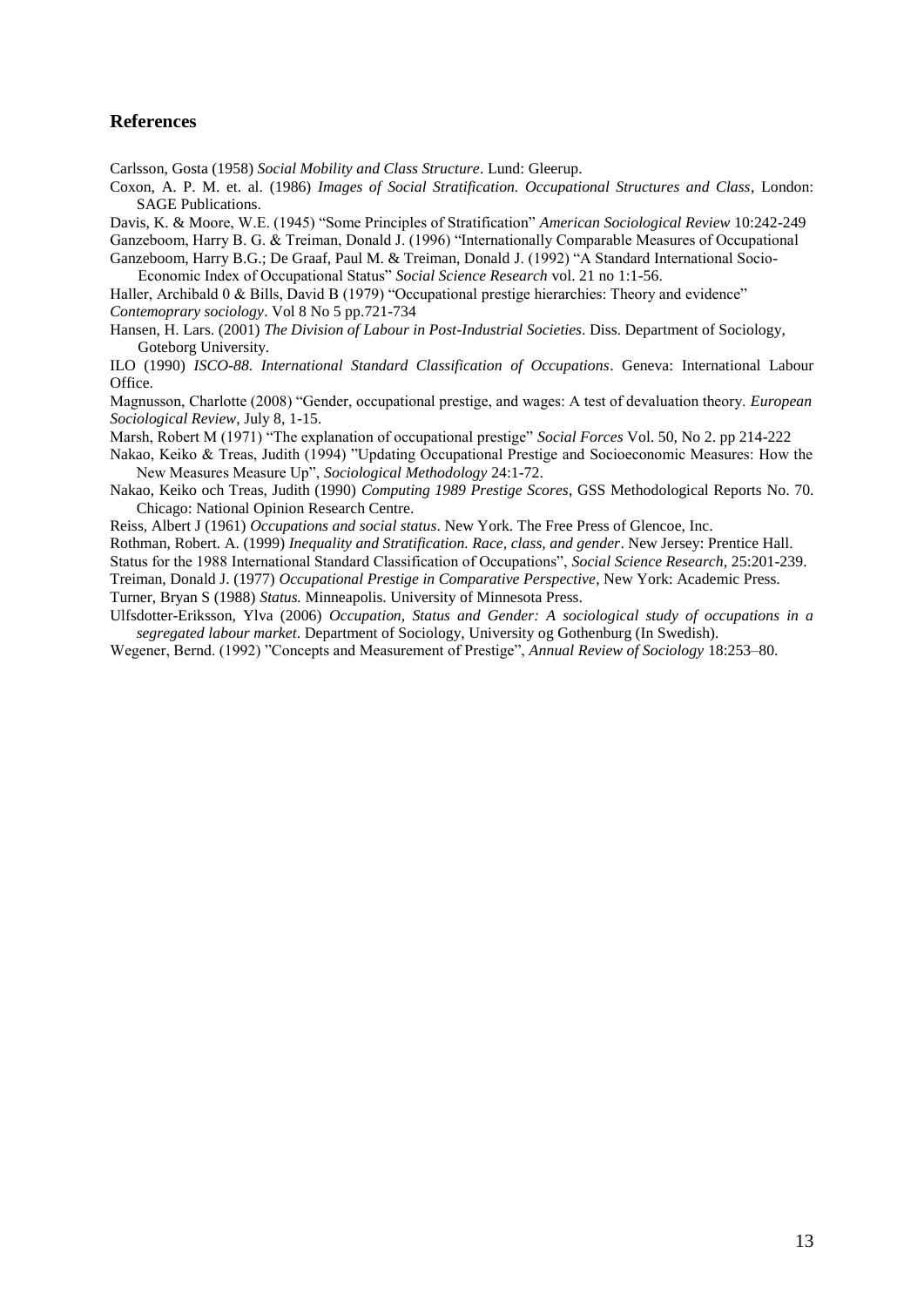#### **References**

Carlsson, Gosta (1958) *Social Mobility and Class Structure*. Lund: Gleerup.

Coxon, A. P. M. et. al. (1986) *Images of Social Stratification. Occupational Structures and Class*, London: SAGE Publications.

Davis, K. & Moore, W.E. (1945) "Some Principles of Stratification" *American Sociological Review* 10:242-249 Ganzeboom, Harry B. G. & Treiman, Donald J. (1996) "Internationally Comparable Measures of Occupational

Ganzeboom, Harry B.G.; De Graaf, Paul M. & Treiman, Donald J. (1992) "A Standard International Socio-Economic Index of Occupational Status" *Social Science Research* vol. 21 no 1:1-56.

Haller, Archibald 0 & Bills, David B (1979) "Occupational prestige hierarchies: Theory and evidence" *Contemoprary sociology*. Vol 8 No 5 pp.721-734

Hansen, H. Lars. (2001) *The Division of Labour in Post-Industrial Societies*. Diss. Department of Sociology, Goteborg University.

ILO (1990) *ISCO-88. International Standard Classification of Occupations*. Geneva: International Labour Office.

Magnusson, Charlotte (2008) "Gender, occupational prestige, and wages: A test of devaluation theory. *European Sociological Review*, July 8, 1-15.

Marsh, Robert M (1971) "The explanation of occupational prestige" *Social Forces* Vol. 50, No 2. pp 214-222

Nakao, Keiko & Treas, Judith (1994) "Updating Occupational Prestige and Socioeconomic Measures: How the New Measures Measure Up", *Sociological Methodology* 24:1-72.

Nakao, Keiko och Treas, Judith (1990) *Computing 1989 Prestige Scores*, GSS Methodological Reports No. 70. Chicago: National Opinion Research Centre.

Reiss, Albert J (1961) *Occupations and social status*. New York. The Free Press of Glencoe, Inc.

Rothman, Robert. A. (1999) *Inequality and Stratification. Race, class, and gender*. New Jersey: Prentice Hall.

Status for the 1988 International Standard Classification of Occupations", *Social Science Research*, 25:201-239.

Treiman, Donald J. (1977) *Occupational Prestige in Comparative Perspective*, New York: Academic Press. Turner, Bryan S (1988) *Status.* Minneapolis. University of Minnesota Press.

Ulfsdotter-Eriksson, Ylva (2006) *Occupation, Status and Gender: A sociological study of occupations in a segregated labour market*. Department of Sociology, University og Gothenburg (In Swedish).

Wegener, Bernd. (1992) "Concepts and Measurement of Prestige", *Annual Review of Sociology* 18:253–80.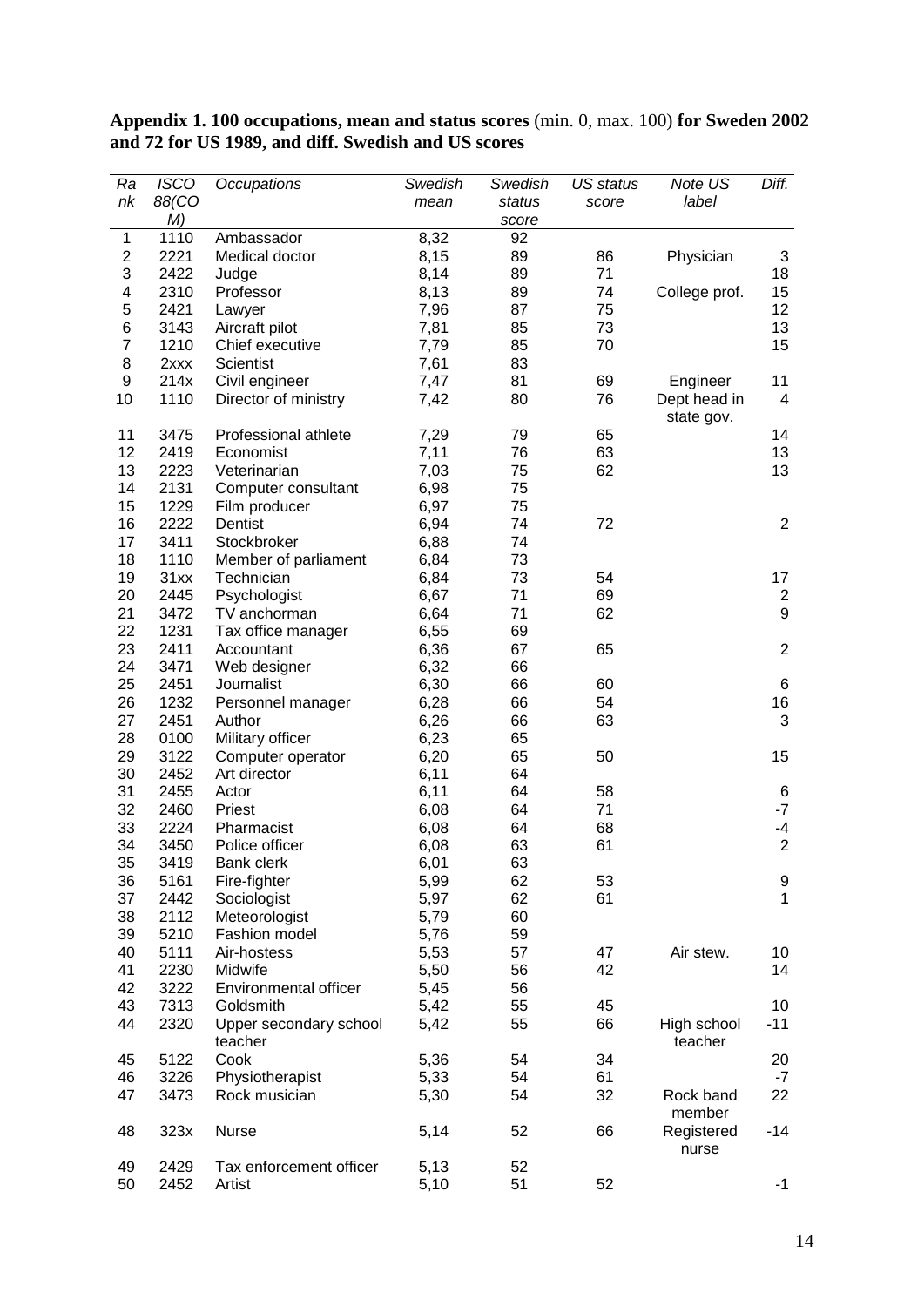| Ra             | <b>ISCO</b> | Occupations             | Swedish | Swedish | US status | Note US       | Diff.           |
|----------------|-------------|-------------------------|---------|---------|-----------|---------------|-----------------|
| nk             | 88(CO       |                         | mean    | status  | score     | label         |                 |
|                | M)          |                         |         | score   |           |               |                 |
| $\mathbf{1}$   | 1110        | Ambassador              | 8,32    | 92      |           |               |                 |
| $\mathbf 2$    | 2221        | Medical doctor          | 8,15    | 89      | 86        | Physician     | 3               |
| 3              | 2422        | Judge                   | 8,14    | 89      | 71        |               | 18              |
| 4              | 2310        | Professor               | 8,13    | 89      | 74        | College prof. | 15              |
| 5              | 2421        | Lawyer                  | 7,96    | 87      | 75        |               | 12 <sub>2</sub> |
| 6              | 3143        | Aircraft pilot          | 7,81    | 85      | 73        |               | 13              |
| $\overline{7}$ | 1210        | Chief executive         | 7,79    | 85      | 70        |               | 15              |
| 8              | 2xxx        | <b>Scientist</b>        | 7,61    | 83      |           |               |                 |
| 9              | 214x        | Civil engineer          | 7,47    | 81      | 69        | Engineer      | 11              |
| 10             | 1110        | Director of ministry    | 7,42    | 80      | 76        | Dept head in  | $\overline{4}$  |
|                |             |                         |         |         |           | state gov.    |                 |
| 11             | 3475        | Professional athlete    | 7,29    | 79      | 65        |               | 14              |
| 12             | 2419        | Economist               | 7,11    | 76      | 63        |               | 13              |
| 13             | 2223        | Veterinarian            | 7,03    | 75      | 62        |               | 13              |
| 14             | 2131        | Computer consultant     | 6,98    | 75      |           |               |                 |
| 15             | 1229        | Film producer           | 6,97    | 75      |           |               |                 |
| 16             | 2222        | Dentist                 | 6,94    | 74      | 72        |               | $\overline{2}$  |
| 17             | 3411        | Stockbroker             | 6,88    | 74      |           |               |                 |
| 18             | 1110        | Member of parliament    | 6,84    | 73      |           |               |                 |
| 19             | 31xx        | Technician              | 6,84    | 73      | 54        |               | 17              |
| 20             | 2445        | Psychologist            | 6,67    | 71      | 69        |               | $\mathbf{2}$    |
| 21             | 3472        | TV anchorman            | 6,64    | 71      | 62        |               | 9               |
| 22             | 1231        | Tax office manager      | 6,55    | 69      |           |               |                 |
| 23             | 2411        | Accountant              | 6,36    | 67      | 65        |               | $\overline{2}$  |
| 24             | 3471        | Web designer            | 6,32    | 66      |           |               |                 |
| 25             | 2451        |                         | 6,30    | 66      | 60        |               | 6               |
|                |             | Journalist              |         |         |           |               |                 |
| 26             | 1232        | Personnel manager       | 6,28    | 66      | 54        |               | 16              |
| 27             | 2451        | Author                  | 6,26    | 66      | 63        |               | 3               |
| 28             | 0100        | Military officer        | 6,23    | 65      |           |               |                 |
| 29             | 3122        | Computer operator       | 6,20    | 65      | 50        |               | 15              |
| 30             | 2452        | Art director            | 6,11    | 64      |           |               |                 |
| 31             | 2455        | Actor                   | 6,11    | 64      | 58        |               | 6               |
| 32             | 2460        | Priest                  | 6,08    | 64      | 71        |               | $-7$            |
| 33             | 2224        | Pharmacist              | 6,08    | 64      | 68        |               | -4              |
| 34             | 3450        | Police officer          | 6,08    | 63      | 61        |               | $\overline{2}$  |
| 35             | 3419        | <b>Bank clerk</b>       | 6,01    | 63      |           |               |                 |
| 36             | 5161        | Fire-fighter            | 5,99    | 62      | 53        |               | 9               |
| 37             | 2442        | Sociologist             | 5,97    | 62      | 61        |               | $\mathbf{1}$    |
| 38             | 2112        | Meteorologist           | 5,79    | 60      |           |               |                 |
| 39             | 5210        | Fashion model           | 5,76    | 59      |           |               |                 |
| 40             | 5111        | Air-hostess             | 5,53    | 57      | 47        | Air stew.     | 10              |
| 41             | 2230        | Midwife                 | 5,50    | 56      | 42        |               | 14              |
| 42             | 3222        | Environmental officer   | 5,45    | 56      |           |               |                 |
| 43             | 7313        | Goldsmith               | 5,42    | 55      | 45        |               | 10              |
| 44             | 2320        | Upper secondary school  | 5,42    | 55      | 66        | High school   | $-11$           |
| 45             | 5122        | teacher<br>Cook         | 5,36    | 54      | 34        | teacher       | 20              |
| 46             | 3226        | Physiotherapist         | 5,33    | 54      | 61        |               | $-7$            |
| 47             | 3473        | Rock musician           | 5,30    | 54      | 32        | Rock band     | 22              |
|                |             |                         |         |         |           | member        |                 |
| 48             | 323x        | <b>Nurse</b>            | 5,14    | 52      | 66        | Registered    | $-14$           |
|                |             |                         |         |         |           | nurse         |                 |
| 49             | 2429        | Tax enforcement officer | 5,13    | 52      |           |               |                 |
| 50             | 2452        | Artist                  | 5,10    | 51      | 52        |               | -1              |

**Appendix 1. 100 occupations, mean and status scores** (min. 0, max. 100) **for Sweden 2002 and 72 for US 1989, and diff. Swedish and US scores**